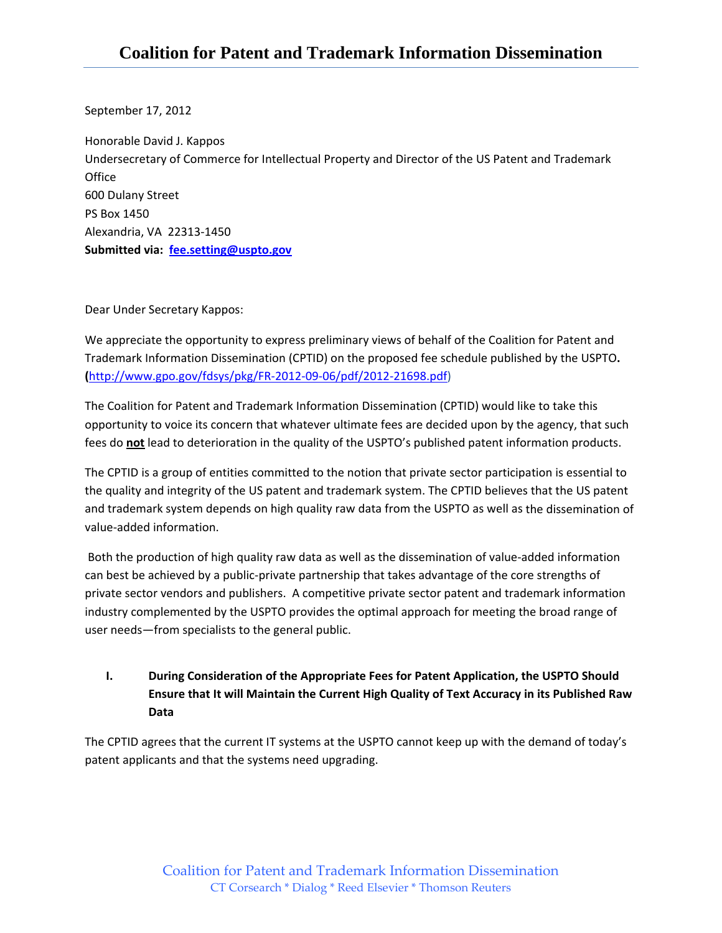September 17, 2012

Honorable David J. Kappos Undersecretary of Commerce for Intellectual Property and Director of the US Patent and Trademark **Office** 600 Dulany Street PS Box 1450 Alexandria, VA 22313‐1450 **Submitted via: fee.setting@uspto.gov**

Dear Under Secretary Kappos:

We appreciate the opportunity to express preliminary views of behalf of the Coalition for Patent and Trademark Information Dissemination (CPTID) on the proposed fee schedule published by the USPTO**. (**http://www.gpo.gov/fdsys/pkg/FR‐2012‐09‐06/pdf/2012‐21698.pdf)

The Coalition for Patent and Trademark Information Dissemination (CPTID) would like to take this opportunity to voice its concern that whatever ultimate fees are decided upon by the agency, that such fees do **not** lead to deterioration in the quality of the USPTO's published patent information products.

The CPTID is a group of entities committed to the notion that private sector participation is essential to the quality and integrity of the US patent and trademark system. The CPTID believes that the US patent and trademark system depends on high quality raw data from the USPTO as well as the dissemination of value‐added information.

Both the production of high quality raw data as well as the dissemination of value‐added information can best be achieved by a public-private partnership that takes advantage of the core strengths of private sector vendors and publishers. A competitive private sector patent and trademark information industry complemented by the USPTO provides the optimal approach for meeting the broad range of user needs—from specialists to the general public.

**I. During Consideration of the Appropriate Fees for Patent Application, the USPTO Should Ensure that It will Maintain the Current High Quality of Text Accuracy in its Published Raw Data**

The CPTID agrees that the current IT systems at the USPTO cannot keep up with the demand of today's patent applicants and that the systems need upgrading.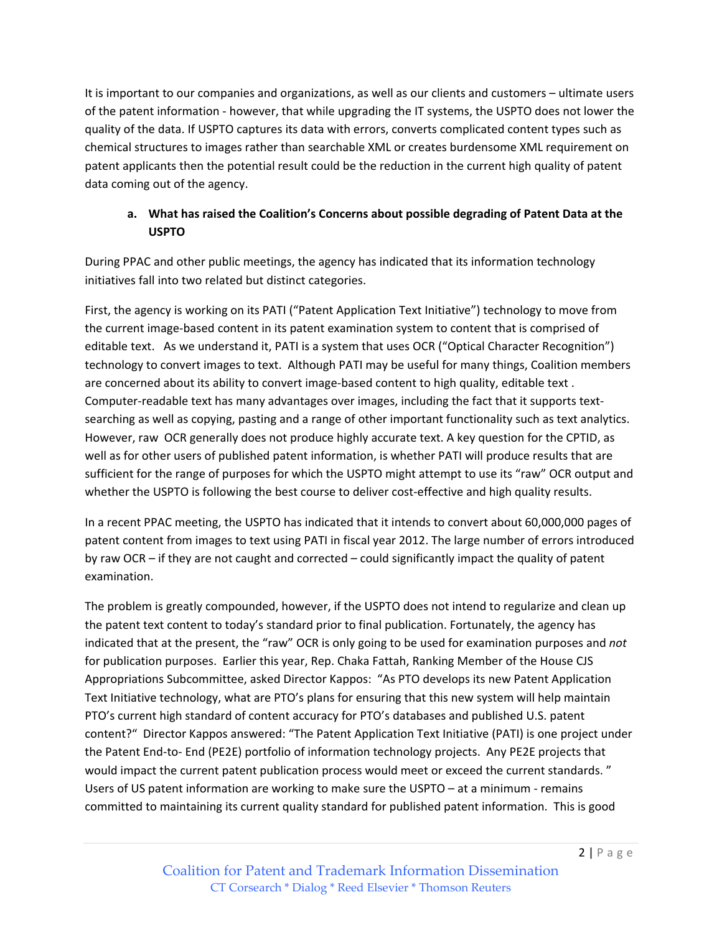It is important to our companies and organizations, as well as our clients and customers – ultimate users of the patent information ‐ however, that while upgrading the IT systems, the USPTO does not lower the quality of the data. If USPTO captures its data with errors, converts complicated content types such as chemical structures to images rather than searchable XML or creates burdensome XML requirement on patent applicants then the potential result could be the reduction in the current high quality of patent data coming out of the agency.

## **a. What has raised the Coalition's Concerns about possible degrading of Patent Data at the USPTO**

During PPAC and other public meetings, the agency has indicated that its information technology initiatives fall into two related but distinct categories.

First, the agency is working on its PATI ("Patent Application Text Initiative") technology to move from the current image‐based content in its patent examination system to content that is comprised of editable text. As we understand it, PATI is a system that uses OCR ("Optical Character Recognition") technology to convert images to text. Although PATI may be useful for many things, Coalition members are concerned about its ability to convert image-based content to high quality, editable text. Computer‐readable text has many advantages over images, including the fact that it supports text‐ searching as well as copying, pasting and a range of other important functionality such as text analytics. However, raw OCR generally does not produce highly accurate text. A key question for the CPTID, as well as for other users of published patent information, is whether PATI will produce results that are sufficient for the range of purposes for which the USPTO might attempt to use its "raw" OCR output and whether the USPTO is following the best course to deliver cost-effective and high quality results.

In a recent PPAC meeting, the USPTO has indicated that it intends to convert about 60,000,000 pages of patent content from images to text using PATI in fiscal year 2012. The large number of errors introduced by raw OCR – if they are not caught and corrected – could significantly impact the quality of patent examination.

The problem is greatly compounded, however, if the USPTO does not intend to regularize and clean up the patent text content to today's standard prior to final publication. Fortunately, the agency has indicated that at the present, the "raw" OCR is only going to be used for examination purposes and *not* for publication purposes. Earlier this year, Rep. Chaka Fattah, Ranking Member of the House CJS Appropriations Subcommittee, asked Director Kappos: "As PTO develops its new Patent Application Text Initiative technology, what are PTO's plans for ensuring that this new system will help maintain PTO's current high standard of content accuracy for PTO's databases and published U.S. patent content?" Director Kappos answered: "The Patent Application Text Initiative (PATI) is one project under the Patent End‐to‐ End (PE2E) portfolio of information technology projects. Any PE2E projects that would impact the current patent publication process would meet or exceed the current standards. " Users of US patent information are working to make sure the USPTO – at a minimum ‐ remains committed to maintaining its current quality standard for published patent information. This is good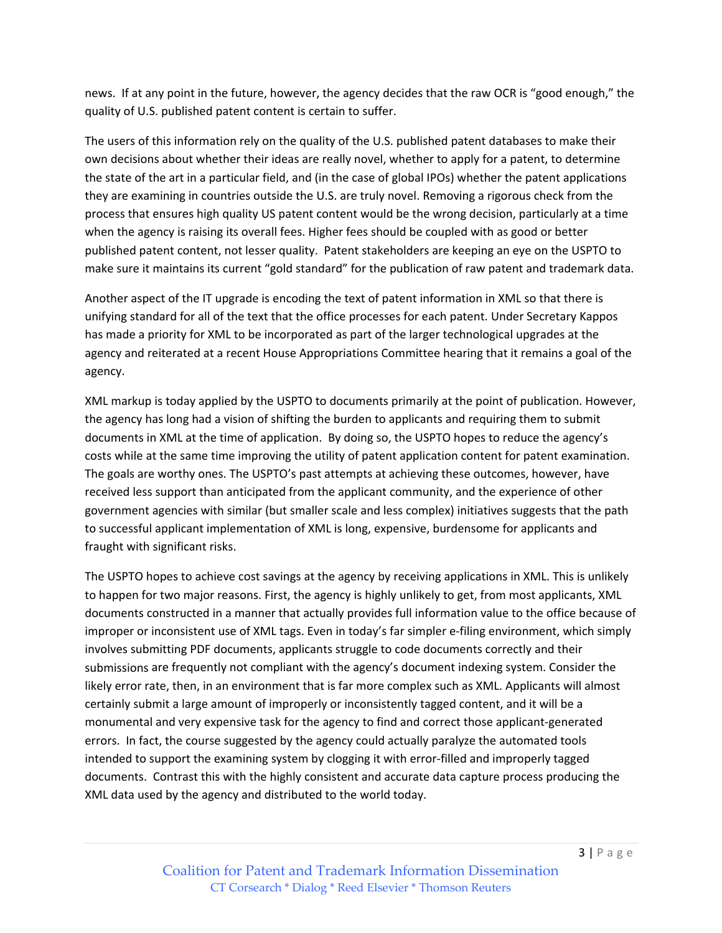news. If at any point in the future, however, the agency decides that the raw OCR is "good enough," the quality of U.S. published patent content is certain to suffer.

The users of this information rely on the quality of the U.S. published patent databases to make their own decisions about whether their ideas are really novel, whether to apply for a patent, to determine the state of the art in a particular field, and (in the case of global IPOs) whether the patent applications they are examining in countries outside the U.S. are truly novel. Removing a rigorous check from the process that ensures high quality US patent content would be the wrong decision, particularly at a time when the agency is raising its overall fees. Higher fees should be coupled with as good or better published patent content, not lesser quality. Patent stakeholders are keeping an eye on the USPTO to make sure it maintains its current "gold standard" for the publication of raw patent and trademark data.

Another aspect of the IT upgrade is encoding the text of patent information in XML so that there is unifying standard for all of the text that the office processes for each patent. Under Secretary Kappos has made a priority for XML to be incorporated as part of the larger technological upgrades at the agency and reiterated at a recent House Appropriations Committee hearing that it remains a goal of the agency.

XML markup is today applied by the USPTO to documents primarily at the point of publication. However, the agency has long had a vision of shifting the burden to applicants and requiring them to submit documents in XML at the time of application. By doing so, the USPTO hopes to reduce the agency's costs while at the same time improving the utility of patent application content for patent examination. The goals are worthy ones. The USPTO's past attempts at achieving these outcomes, however, have received less support than anticipated from the applicant community, and the experience of other government agencies with similar (but smaller scale and less complex) initiatives suggests that the path to successful applicant implementation of XML is long, expensive, burdensome for applicants and fraught with significant risks.

The USPTO hopes to achieve cost savings at the agency by receiving applications in XML. This is unlikely to happen for two major reasons. First, the agency is highly unlikely to get, from most applicants, XML documents constructed in a manner that actually provides full information value to the office because of improper or inconsistent use of XML tags. Even in today's far simpler e-filing environment, which simply involves submitting PDF documents, applicants struggle to code documents correctly and their submissions are frequently not compliant with the agency's document indexing system. Consider the likely error rate, then, in an environment that is far more complex such as XML. Applicants will almost certainly submit a large amount of improperly or inconsistently tagged content, and it will be a monumental and very expensive task for the agency to find and correct those applicant‐generated errors. In fact, the course suggested by the agency could actually paralyze the automated tools intended to support the examining system by clogging it with error-filled and improperly tagged documents. Contrast this with the highly consistent and accurate data capture process producing the XML data used by the agency and distributed to the world today.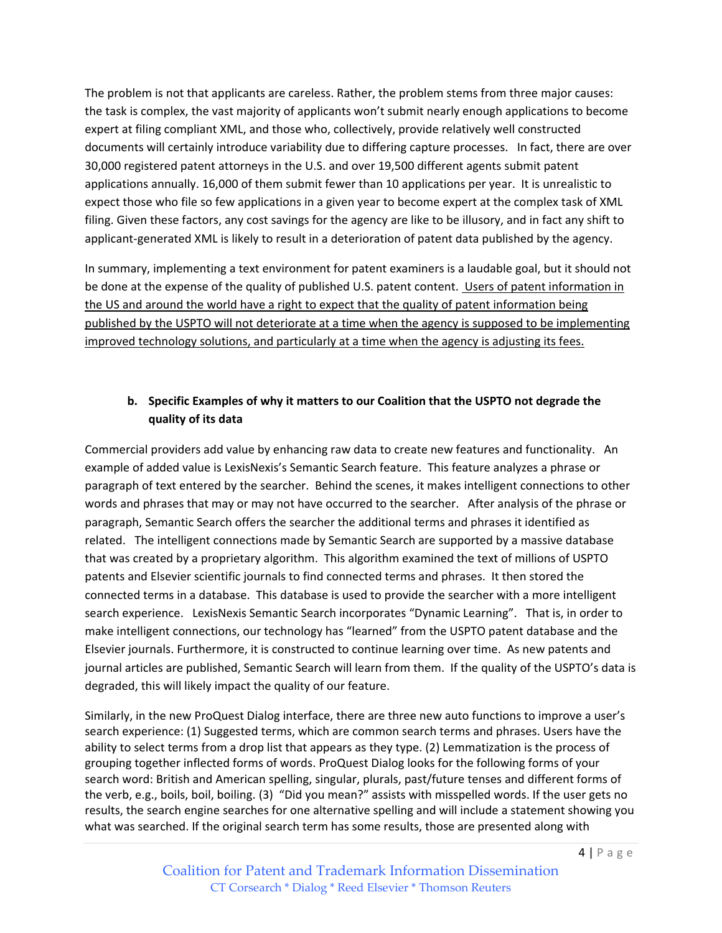The problem is not that applicants are careless. Rather, the problem stems from three major causes: the task is complex, the vast majority of applicants won't submit nearly enough applications to become expert at filing compliant XML, and those who, collectively, provide relatively well constructed documents will certainly introduce variability due to differing capture processes. In fact, there are over 30,000 registered patent attorneys in the U.S. and over 19,500 different agents submit patent applications annually. 16,000 of them submit fewer than 10 applications per year. It is unrealistic to expect those who file so few applications in a given year to become expert at the complex task of XML filing. Given these factors, any cost savings for the agency are like to be illusory, and in fact any shift to applicant‐generated XML is likely to result in a deterioration of patent data published by the agency.

In summary, implementing a text environment for patent examiners is a laudable goal, but it should not be done at the expense of the quality of published U.S. patent content. Users of patent information in the US and around the world have a right to expect that the quality of patent information being published by the USPTO will not deteriorate at a time when the agency is supposed to be implementing improved technology solutions, and particularly at a time when the agency is adjusting its fees.

## **b. Specific Examples of why it matters to our Coalition that the USPTO not degrade the quality of its data**

Commercial providers add value by enhancing raw data to create new features and functionality. An example of added value is LexisNexis's Semantic Search feature. This feature analyzes a phrase or paragraph of text entered by the searcher. Behind the scenes, it makes intelligent connections to other words and phrases that may or may not have occurred to the searcher. After analysis of the phrase or paragraph, Semantic Search offers the searcher the additional terms and phrases it identified as related. The intelligent connections made by Semantic Search are supported by a massive database that was created by a proprietary algorithm. This algorithm examined the text of millions of USPTO patents and Elsevier scientific journals to find connected terms and phrases. It then stored the connected terms in a database. This database is used to provide the searcher with a more intelligent search experience. LexisNexis Semantic Search incorporates "Dynamic Learning". That is, in order to make intelligent connections, our technology has "learned" from the USPTO patent database and the Elsevier journals. Furthermore, it is constructed to continue learning over time. As new patents and journal articles are published, Semantic Search will learn from them. If the quality of the USPTO's data is degraded, this will likely impact the quality of our feature.

Similarly, in the new ProQuest Dialog interface, there are three new auto functions to improve a user's search experience: (1) Suggested terms, which are common search terms and phrases. Users have the ability to select terms from a drop list that appears as they type. (2) Lemmatization is the process of grouping together inflected forms of words. ProQuest Dialog looks for the following forms of your search word: British and American spelling, singular, plurals, past/future tenses and different forms of the verb, e.g., boils, boil, boiling. (3) "Did you mean?" assists with misspelled words. If the user gets no results, the search engine searches for one alternative spelling and will include a statement showing you what was searched. If the original search term has some results, those are presented along with